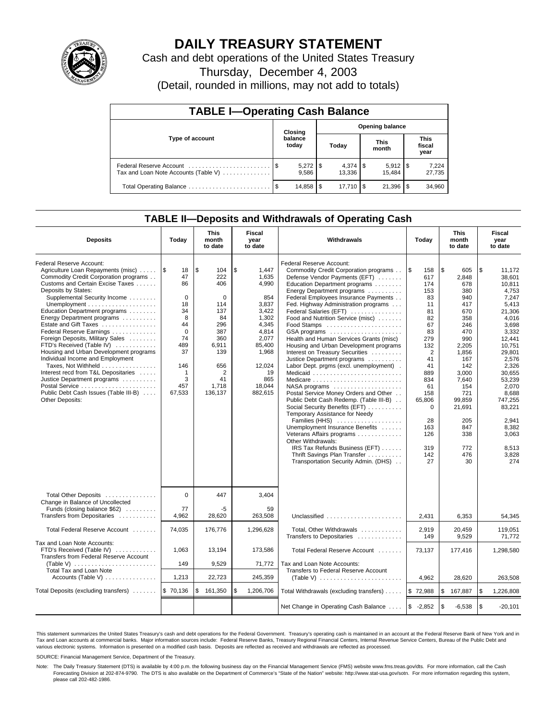

# **DAILY TREASURY STATEMENT**

Cash and debt operations of the United States Treasury

Thursday, December 4, 2003

(Detail, rounded in millions, may not add to totals)

| <b>TABLE I-Operating Cash Balance</b> |  |                  |                        |                       |                      |        |                               |                 |  |
|---------------------------------------|--|------------------|------------------------|-----------------------|----------------------|--------|-------------------------------|-----------------|--|
|                                       |  | Closing          | <b>Opening balance</b> |                       |                      |        |                               |                 |  |
| Type of account                       |  | balance<br>today | Today                  |                       | <b>This</b><br>month |        | <b>This</b><br>fiscal<br>year |                 |  |
| Tax and Loan Note Accounts (Table V)  |  | 9.586            |                        | $4,374$ \\$<br>13.336 |                      | 15.484 |                               | 7,224<br>27,735 |  |
|                                       |  | 14,858           | l \$                   | $17.710$ S            |                      | 21,396 |                               | 34,960          |  |

## **TABLE II—Deposits and Withdrawals of Operating Cash**

| <b>Deposits</b>                                                                                                                                                                                                                                                                                                                                                                                                                                                                                                                                                                                                                      | Today                                                                                                                            | <b>This</b><br>month<br>to date                                                                                                                    | Fiscal<br>year<br>to date                                                                                                                                 | Withdrawals                                                                                                                                                                                                                                                                                                                                                                                                                                                                                                                                                                                                                                                                                                                                                                                                                                                                                                                                                                                                | Today                                                                                                                                                                                                       | <b>This</b><br>month<br>to date                                                                                                                                                                                | Fiscal<br>year<br>to date                                                                                                                                                                                                                                       |
|--------------------------------------------------------------------------------------------------------------------------------------------------------------------------------------------------------------------------------------------------------------------------------------------------------------------------------------------------------------------------------------------------------------------------------------------------------------------------------------------------------------------------------------------------------------------------------------------------------------------------------------|----------------------------------------------------------------------------------------------------------------------------------|----------------------------------------------------------------------------------------------------------------------------------------------------|-----------------------------------------------------------------------------------------------------------------------------------------------------------|------------------------------------------------------------------------------------------------------------------------------------------------------------------------------------------------------------------------------------------------------------------------------------------------------------------------------------------------------------------------------------------------------------------------------------------------------------------------------------------------------------------------------------------------------------------------------------------------------------------------------------------------------------------------------------------------------------------------------------------------------------------------------------------------------------------------------------------------------------------------------------------------------------------------------------------------------------------------------------------------------------|-------------------------------------------------------------------------------------------------------------------------------------------------------------------------------------------------------------|----------------------------------------------------------------------------------------------------------------------------------------------------------------------------------------------------------------|-----------------------------------------------------------------------------------------------------------------------------------------------------------------------------------------------------------------------------------------------------------------|
| Federal Reserve Account:<br>Agriculture Loan Repayments (misc)    \$<br>Commodity Credit Corporation programs<br>Customs and Certain Excise Taxes<br>Deposits by States:<br>Supplemental Security Income<br>Education Department programs<br>Energy Department programs<br>Estate and Gift Taxes<br>Federal Reserve Earnings<br>Foreign Deposits, Military Sales<br>FTD's Received (Table IV)<br>Housing and Urban Development programs<br>Individual Income and Employment<br>Taxes, Not Withheld<br>Interest recd from T&L Depositaries<br>Justice Department programs<br>Public Debt Cash Issues (Table III-B)<br>Other Deposits: | 18<br>47<br>86<br>$\mathbf 0$<br>18<br>34<br>8<br>44<br>$\Omega$<br>74<br>489<br>37<br>146<br>$\mathbf{1}$<br>3<br>457<br>67,533 | \$<br>104<br>222<br>406<br>$\mathbf 0$<br>114<br>137<br>84<br>296<br>387<br>360<br>6,911<br>139<br>656<br>$\overline{2}$<br>41<br>1,718<br>136,137 | \$<br>1,447<br>1,635<br>4,990<br>854<br>3,837<br>3,422<br>1,302<br>4.345<br>4,814<br>2,077<br>85,400<br>1,968<br>12,024<br>19<br>865<br>18,044<br>882,615 | Federal Reserve Account:<br>Commodity Credit Corporation programs<br>Defense Vendor Payments (EFT)<br>Education Department programs<br>Energy Department programs<br>Federal Employees Insurance Payments<br>Fed. Highway Administration programs<br>Federal Salaries (EFT)<br>Food and Nutrition Service (misc)<br>Food Stamps<br>GSA programs<br>Health and Human Services Grants (misc)<br>Housing and Urban Development programs<br>Interest on Treasury Securities<br>Justice Department programs<br>Labor Dept. prgms (excl. unemployment).<br>Medicaid<br>Medicare<br>$NASA$ programs $\ldots \ldots \ldots \ldots \ldots$<br>Postal Service Money Orders and Other<br>Public Debt Cash Redemp. (Table III-B)<br>Social Security Benefits (EFT)<br>Temporary Assistance for Needy<br>Families (HHS)<br>Unemployment Insurance Benefits<br>Veterans Affairs programs<br>Other Withdrawals:<br>IRS Tax Refunds Business (EFT)<br>Thrift Savings Plan Transfer<br>Transportation Security Admin. (DHS) | ۱\$<br>158<br>617<br>174<br>153<br>83<br>11<br>81<br>82<br>67<br>83<br>279<br>132<br>$\overline{2}$<br>41<br>41<br>889<br>834<br>61<br>158<br>65,806<br>$\mathbf 0$<br>28<br>163<br>126<br>319<br>142<br>27 | \$<br>605<br>2.848<br>678<br>380<br>940<br>417<br>670<br>358<br>246<br>470<br>990<br>2.205<br>1,856<br>167<br>142<br>3.000<br>7.640<br>154<br>721<br>99.859<br>21,691<br>205<br>847<br>338<br>772<br>476<br>30 | \$<br>11,172<br>38.601<br>10.811<br>4,753<br>7.247<br>5.413<br>21,306<br>4,016<br>3.698<br>3,332<br>12,441<br>10.751<br>29.801<br>2,576<br>2,326<br>30.655<br>53.239<br>2,070<br>8.688<br>747,255<br>83,221<br>2.941<br>8,382<br>3,063<br>8,513<br>3,828<br>274 |
| Total Other Deposits<br>Change in Balance of Uncollected<br>Funds (closing balance \$62)                                                                                                                                                                                                                                                                                                                                                                                                                                                                                                                                             | $\Omega$<br>77                                                                                                                   | 447<br>-5                                                                                                                                          | 3,404<br>59                                                                                                                                               |                                                                                                                                                                                                                                                                                                                                                                                                                                                                                                                                                                                                                                                                                                                                                                                                                                                                                                                                                                                                            |                                                                                                                                                                                                             |                                                                                                                                                                                                                |                                                                                                                                                                                                                                                                 |
| Transfers from Depositaries                                                                                                                                                                                                                                                                                                                                                                                                                                                                                                                                                                                                          | 4.962                                                                                                                            | 28,620                                                                                                                                             | 263.508                                                                                                                                                   | Unclassified                                                                                                                                                                                                                                                                                                                                                                                                                                                                                                                                                                                                                                                                                                                                                                                                                                                                                                                                                                                               | 2.431                                                                                                                                                                                                       | 6.353                                                                                                                                                                                                          | 54.345                                                                                                                                                                                                                                                          |
| Total Federal Reserve Account                                                                                                                                                                                                                                                                                                                                                                                                                                                                                                                                                                                                        | 74,035                                                                                                                           | 176,776                                                                                                                                            | 1,296,628                                                                                                                                                 | Total, Other Withdrawals<br>Transfers to Depositaries                                                                                                                                                                                                                                                                                                                                                                                                                                                                                                                                                                                                                                                                                                                                                                                                                                                                                                                                                      | 2,919<br>149                                                                                                                                                                                                | 20,459<br>9,529                                                                                                                                                                                                | 119,051<br>71,772                                                                                                                                                                                                                                               |
| Tax and Loan Note Accounts:<br>FTD's Received (Table IV)<br>Transfers from Federal Reserve Account<br>(Table V) $\ldots \ldots \ldots \ldots \ldots \ldots \ldots$                                                                                                                                                                                                                                                                                                                                                                                                                                                                   | 1,063<br>149                                                                                                                     | 13,194<br>9,529                                                                                                                                    | 173,586                                                                                                                                                   | Total Federal Reserve Account                                                                                                                                                                                                                                                                                                                                                                                                                                                                                                                                                                                                                                                                                                                                                                                                                                                                                                                                                                              | 73,137                                                                                                                                                                                                      | 177,416                                                                                                                                                                                                        | 1,298,580                                                                                                                                                                                                                                                       |
| <b>Total Tax and Loan Note</b>                                                                                                                                                                                                                                                                                                                                                                                                                                                                                                                                                                                                       |                                                                                                                                  |                                                                                                                                                    | 71,772                                                                                                                                                    | Tax and Loan Note Accounts:<br>Transfers to Federal Reserve Account                                                                                                                                                                                                                                                                                                                                                                                                                                                                                                                                                                                                                                                                                                                                                                                                                                                                                                                                        |                                                                                                                                                                                                             |                                                                                                                                                                                                                |                                                                                                                                                                                                                                                                 |
| Accounts (Table V)                                                                                                                                                                                                                                                                                                                                                                                                                                                                                                                                                                                                                   | 1,213                                                                                                                            | 22,723                                                                                                                                             | 245,359                                                                                                                                                   | (Table V) $\ldots \ldots \ldots \ldots \ldots \ldots \ldots$                                                                                                                                                                                                                                                                                                                                                                                                                                                                                                                                                                                                                                                                                                                                                                                                                                                                                                                                               | 4,962                                                                                                                                                                                                       | 28,620                                                                                                                                                                                                         | 263,508                                                                                                                                                                                                                                                         |
| Total Deposits (excluding transfers)                                                                                                                                                                                                                                                                                                                                                                                                                                                                                                                                                                                                 | \$70,136                                                                                                                         | \$<br>161,350                                                                                                                                      | \$<br>1,206,706                                                                                                                                           | Total Withdrawals (excluding transfers)                                                                                                                                                                                                                                                                                                                                                                                                                                                                                                                                                                                                                                                                                                                                                                                                                                                                                                                                                                    | \$72,988                                                                                                                                                                                                    | <b>S</b><br>167,887                                                                                                                                                                                            | \$<br>1,226,808                                                                                                                                                                                                                                                 |
|                                                                                                                                                                                                                                                                                                                                                                                                                                                                                                                                                                                                                                      |                                                                                                                                  |                                                                                                                                                    |                                                                                                                                                           | Net Change in Operating Cash Balance                                                                                                                                                                                                                                                                                                                                                                                                                                                                                                                                                                                                                                                                                                                                                                                                                                                                                                                                                                       | $$ -2,852$                                                                                                                                                                                                  | l \$<br>$-6,538$                                                                                                                                                                                               | \$<br>$-20,101$                                                                                                                                                                                                                                                 |

This statement summarizes the United States Treasury's cash and debt operations for the Federal Government. Treasury's operating cash is maintained in an account at the Federal Reserve Bank of New York and in Tax and Loan accounts at commercial banks. Major information sources include: Federal Reserve Banks, Treasury Regional Financial Centers, Internal Revenue Service Centers, Bureau of the Public Debt and<br>various electronic s

SOURCE: Financial Management Service, Department of the Treasury.

Note: The Daily Treasury Statement (DTS) is available by 4:00 p.m. the following business day on the Financial Management Service (FMS) website www.fms.treas.gov/dts. For more information, call the Cash Forecasting Division at 202-874-9790. The DTS is also available on the Department of Commerce's "State of the Nation" website: http://www.stat-usa.gov/sotn. For more information regarding this system, please call 202-482-1986.